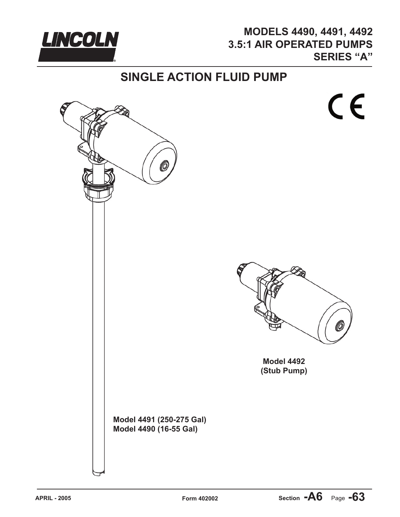

## **MODELS 4490, 4491, 4492 3.5:1 AIR OPERATED PUMPS SERIES "A"**

## **SINGLE ACTION FLUID PUMP**

CE



**Model 4492 (Stub Pump)**

 $M_{\odot}$  and  $M_{\odot}$  as  $250-250$ **Model 4491 (250-275 Gal) Model 4490 (16-55 Gal)**

(0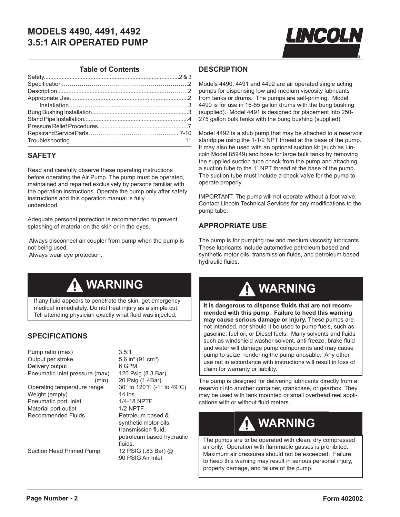

#### **Table of Contents**

### **SAFETY**

Read and carefully observe these operating instructions before operating the Air Pump. The pump must be operated, maintained and repaired exclusively by persons familiar with the operation instructions. Operate the pump only after safety instructions and this operation manual is fully understood.

Adequate personal protection is recommended to prevent splashing of material on the skin or in the eyes.

 Always disconnect air coupler from pump when the pump is not being used.

Always wear eye protection.

#### **DESCRIPTION**

Models 4490, 4491 and 4492 are air operated single acting pumps for dispensing low and medium viscosity lubricants from tanks or drums. The pumps are self-priming. Model 4490 is for use in 16-55 gallon drums with the bung bushing (supplied). Model 4491 is designed for placement into 250- 275 gallon bulk tanks with the bung bushing (supplied).

Model 4492 is a stub pump that may be attached to a reservoir standpipe using the 1-1/2 NPT thread at the base of the pump. It may also be used with an optional suction kit (such as Lincoln Model 85949) and hose for large bulk tanks by removing the supplied suction tube check from the pump and attaching a suction tube to the 1" NPT thread at the base of the pump. The suction tube must include a check valve for the pump to operate properly.

IMPORTANT: The pump will not operate without a foot valve. Contact Lincoln Technical Services for any modifications to the pump tube.

### **APPROPRIATE USE**

The pump is for pumping low and medium viscosity lubricants. These lubricants include automotive petroleum based and synthetic motor oils, transmission fluids, and petroleum based hydraulic fluids.

## **WARNING**

If any fluid appears to penetrate the skin, get emergency medical immediately. Do not treat injury as a simple cut. Tell attending physician exactly what fluid was injected**.**

## **SPECIFICATIONS**

| Pump ratio (max)               | 3.5:1         |
|--------------------------------|---------------|
| Output per stroke              | 5.6 ir        |
| Delivery output                | 6 GP          |
| Pneumatic Inlet pressure (max) | 120 F         |
| (min)                          | 20 Ps         |
| Operating temperature range    | $30^\circ$ to |
| Weight (empty)                 | 14 lb         |
| Pneumatic port inlet           | $1/4 - 1$     |
| Material port outlet           | 1/2N          |
| <b>Recommended Fluids</b>      | Petro         |
|                                | evnth         |

Suction Head Primed Pump 12 PSIG (.83 Bar) @

 $5.6$  in $^{3}$  (91 cm $^{3}$ ) 6 GPM 120 Psig (8.3 Bar) 20 Psig (1.4Bar)  $30^\circ$  to 120°F (-1° to 49°C) 14 lbs. 1/4-18 NPTF 1/2 NPTF Petroleum based & synthetic motor oils, transmission fluid, petroleum based hydraulic fluids. 90 PSIG Air Inlet

# A WARNING

**It is dangerous to dispense fluids that are not recommended with this pump. Failure to heed this warning may cause serious damage or injury.** These pumps are not intended, nor should it be used to pump fuels, such as gasoline, fuel oil, or Diesel fuels. Many solvents and fluids such as windshield washer solvent, anti freeze, brake fluid and water will damage pump components and may cause pump to seize, rendering the pump unusable. Any other use not in accordance with instructions will result in loss of claim for warranty or liability.

The pump is designed for delivering lubricants directly from a reservoir into another container, crankcase, or gearbox. They may be used with tank mounted or small overhead reel applications with or without fluid meters.

## **WARNING**

The pumps are to be operated with clean, dry compressed air only. Operation with flammable gasses is prohibited. Maximum air pressures should not be exceeded. Failure to heed this warning may result in serious personal injury, property damage, and failure of the pump.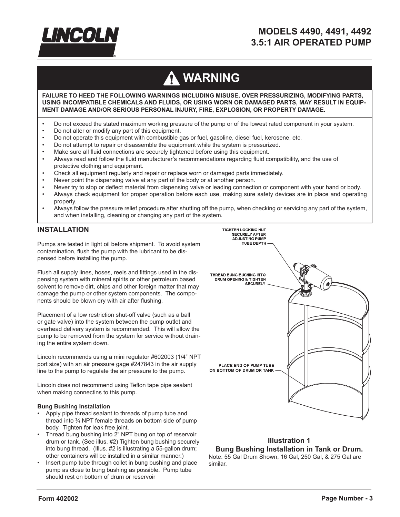

# A WARNING

**FAILURE TO HEED THE FOLLOWING WARNINGS INCLUDING MISUSE, OVER PRESSURIZING, MODIFYING PARTS, USING INCOMPATIBLE CHEMICALS AND FLUIDS, OR USING WORN OR DAMAGED PARTS, MAY RESULT IN EQUIP-MENT DAMAGE AND/OR SERIOUS PERSONAL INJURY, FIRE, EXPLOSION, OR PROPERTY DAMAGE.**

- Do not exceed the stated maximum working pressure of the pump or of the lowest rated component in your system.
- Do not alter or modify any part of this equipment.
- Do not operate this equipment with combustible gas or fuel, gasoline, diesel fuel, kerosene, etc.
- Do not attempt to repair or disassemble the equipment while the system is pressurized.
- Make sure all fluid connections are securely tightened before using this equipment.
- Always read and follow the fluid manufacturer's recommendations regarding fluid compatibility, and the use of protective clothing and equipment.
- Check all equipment regularly and repair or replace worn or damaged parts immediately.
- Never point the dispensing valve at any part of the body or at another person.
- Never try to stop or deflect material from dispensing valve or leading connection or component with your hand or body.
- Always check equipment for proper operation before each use, making sure safety devices are in place and operating properly.
- Always follow the pressure relief procedure after shutting off the pump, when checking or servicing any part of the system, and when installing, cleaning or changing any part of the system.

#### **INSTALLATION**

Pumps are tested in light oil before shipment. To avoid system contamination, flush the pump with the lubricant to be dispensed before installing the pump.

Flush all supply lines, hoses, reels and fittings used in the dispensing system with mineral spirits or other petroleum based solvent to remove dirt, chips and other foreign matter that may damage the pump or other system components. The components should be blown dry with air after flushing.

Placement of a low restriction shut-off valve (such as a ball or gate valve) into the system between the pump outlet and overhead delivery system is recommended. This will allow the pump to be removed from the system for service without draining the entire system down.

Lincoln recommends using a mini regulator #602003 (1/4" NPT port size) with an air pressure gage #247843 in the air supply line to the pump to regulate the air pressure to the pump.

Lincoln does not recommend using Teflon tape pipe sealant when making connectins to this pump.

#### **Bung Bushing Installation**

- Apply pipe thread sealant to threads of pump tube and thread into ¾ NPT female threads on bottom side of pump body. Tighten for leak free joint.
- Thread bung bushing into 2" NPT bung on top of reservoir drum or tank. (See illus. #2) Tighten bung bushing securely into bung thread. (Illus. #2 is illustrating a 55-gallon drum; other containers will be installed in a similar manner.)
- Insert pump tube through collet in bung bushing and place pump as close to bung bushing as possible. Pump tube should rest on bottom of drum or reservoir



### **Illustration 1 Bung Bushing Installation in Tank or Drum.**

Note: 55 Gal Drum Shown, 16 Gal, 250 Gal, & 275 Gal are similar.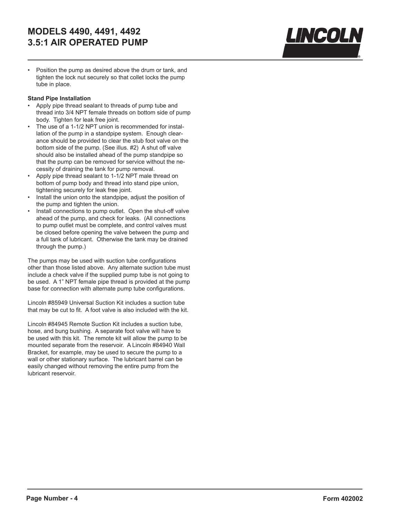

• Position the pump as desired above the drum or tank, and tighten the lock nut securely so that collet locks the pump tube in place.

#### **Stand Pipe Installation**

- Apply pipe thread sealant to threads of pump tube and thread into 3/4 NPT female threads on bottom side of pump body. Tighten for leak free joint.
- The use of a 1-1/2 NPT union is recommended for installation of the pump in a standpipe system. Enough clearance should be provided to clear the stub foot valve on the bottom side of the pump. (See illus. #2) A shut off valve should also be installed ahead of the pump standpipe so that the pump can be removed for service without the necessity of draining the tank for pump removal.
- Apply pipe thread sealant to 1-1/2 NPT male thread on bottom of pump body and thread into stand pipe union, tightening securely for leak free joint.
- Install the union onto the standpipe, adjust the position of the pump and tighten the union.
- Install connections to pump outlet. Open the shut-off valve ahead of the pump, and check for leaks. (All connections to pump outlet must be complete, and control valves must be closed before opening the valve between the pump and a full tank of lubricant. Otherwise the tank may be drained through the pump.)

The pumps may be used with suction tube configurations other than those listed above. Any alternate suction tube must include a check valve if the supplied pump tube is not going to be used. A 1" NPT female pipe thread is provided at the pump base for connection with alternate pump tube configurations.

Lincoln #85949 Universal Suction Kit includes a suction tube that may be cut to fit. A foot valve is also included with the kit.

Lincoln #84945 Remote Suction Kit includes a suction tube, hose, and bung bushing. A separate foot valve will have to be used with this kit. The remote kit will allow the pump to be mounted separate from the reservoir. A Lincoln #84940 Wall Bracket, for example, may be used to secure the pump to a wall or other stationary surface. The lubricant barrel can be easily changed without removing the entire pump from the lubricant reservoir.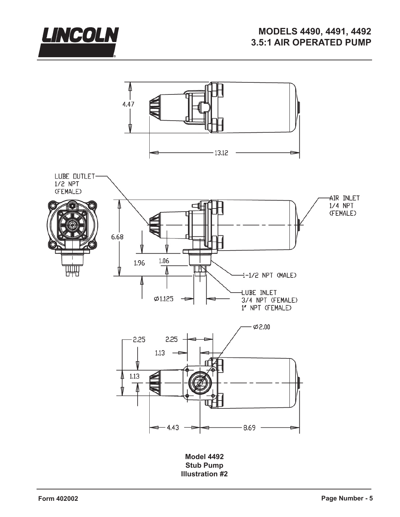



**Illustration #2**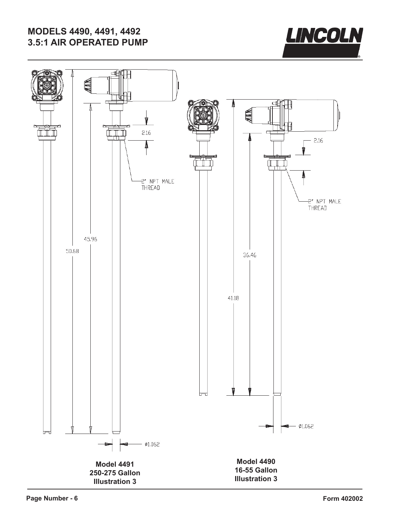

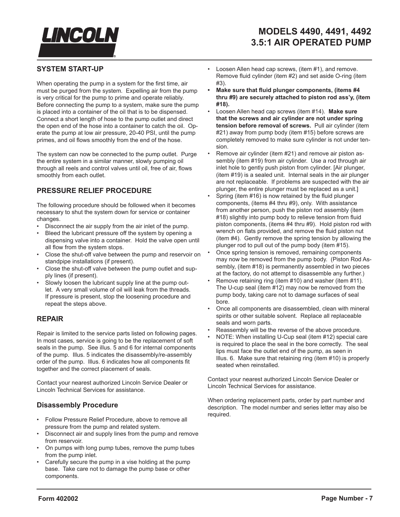

## **SYSTEM START-UP**

When operating the pump in a system for the first time, air must be purged from the system. Expelling air from the pump is very critical for the pump to prime and operate reliably. Before connecting the pump to a system, make sure the pump is placed into a container of the oil that is to be dispensed. Connect a short length of hose to the pump outlet and direct the open end of the hose into a container to catch the oil. Operate the pump at low air pressure, 20-40 PSI, until the pump primes, and oil flows smoothly from the end of the hose.

The system can now be connected to the pump outlet. Purge the entire system in a similar manner, slowly pumping oil through all reels and control valves until oil, free of air, flows smoothly from each outlet.

## **PRESSURE RELIEF PROCEDURE**

The following procedure should be followed when it becomes necessary to shut the system down for service or container changes.

- Disconnect the air supply from the air inlet of the pump.
- Bleed the lubricant pressure off the system by opening a dispensing valve into a container. Hold the valve open until all flow from the system stops.
- Close the shut-off valve between the pump and reservoir on standpipe installations (if present).
- Close the shut-off valve between the pump outlet and supply lines (if present).
- Slowly loosen the lubricant supply line at the pump outlet. A very small volume of oil will leak from the threads. If pressure is present, stop the loosening procedure and repeat the steps above.

## **REPAIR**

Repair is limited to the service parts listed on following pages. In most cases, service is going to be the replacement of soft seals in the pump. See illus. 5 and 6 for internal components of the pump. Illus. 5 indicates the disassembly/re-assembly order of the pump. Illus. 6 indicates how all components fit together and the correct placement of seals.

Contact your nearest authorized Lincoln Service Dealer or Lincoln Technical Services for assistance.

## **Disassembly Procedure**

- Follow Pressure Relief Procedure, above to remove all pressure from the pump and related system.
- Disconnect air and supply lines from the pump and remove from reservoir.
- On pumps with long pump tubes, remove the pump tubes from the pump inlet.
- Carefully secure the pump in a vise holding at the pump base. Take care not to damage the pump base or other components.
- Loosen Allen head cap screws, (item #1), and remove. Remove fluid cylinder (item #2) and set aside O-ring (item #3).
- **Make sure that fluid plunger components, (items #4 thru #9) are securely attached to piston rod ass'y, (item #18).**
- Loosen Allen head cap screws (item #14). **Make sure that the screws and air cylinder are not under spring tension before removal of screws.** Pull air cylinder (item #21) away from pump body (item #15) before screws are completely removed to make sure cylinder is not under tension.
- Remove air cylinder (item #21) and remove air piston assembly (item #19) from air cylinder. Use a rod through air inlet hole to gently push piston from cylinder. [Air plunger, (item #19) is a sealed unit. Internal seals in the air plunger are not replaceable. If problems are suspected with the air plunger, the entire plunger must be replaced as a unit.]
- Spring (item #16) is now retained by the fluid plunger components, (items #4 thru #9), only. With assistance from another person, push the piston rod assembly (item #18) slightly into pump body to relieve tension from fluid piston components, (items #4 thru #9). Hold piston rod with wrench on flats provided, and remove the fluid piston nut (item #4). Gently remove the spring tension by allowing the plunger rod to pull out of the pump body (item #15).
- Once spring tension is removed, remaining components may now be removed from the pump body. (Piston Rod Assembly, (item #18) is permanently assembled in two pieces at the factory, do not attempt to disassemble any further.)
- Remove retaining ring (item #10) and washer (item #11). The U-cup seal (item #12) may now be removed from the pump body, taking care not to damage surfaces of seal bore.
- Once all components are disassembled, clean with mineral spirits or other suitable solvent. Replace all replaceable seals and worn parts.
- Reassembly will be the reverse of the above procedure.
- NOTE: When installing U-Cup seal (item #12) special care is required to place the seal in the bore correctly. The seal lips must face the outlet end of the pump, as seen in Illus. 6. Make sure that retaining ring (item #10) is properly seated when reinstalled.

Contact your nearest authorized Lincoln Service Dealer or Lincoln Technical Services for assistance.

When ordering replacement parts, order by part number and description. The model number and series letter may also be required.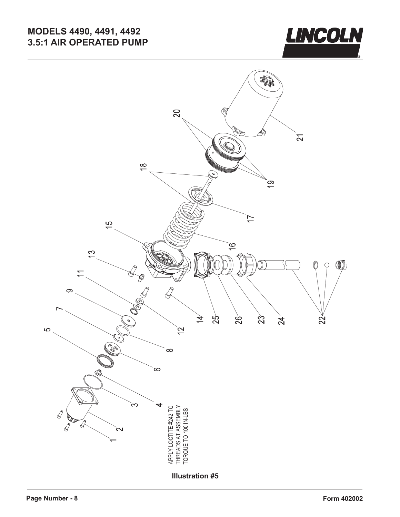

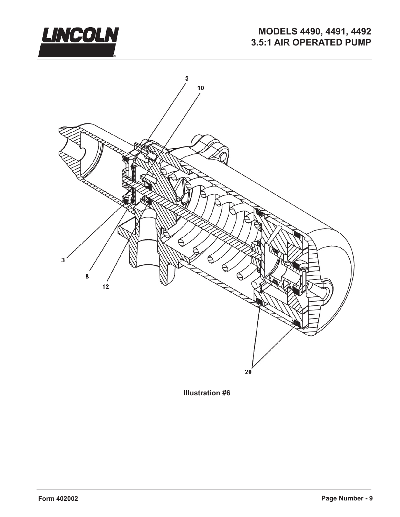



**Illustration #6**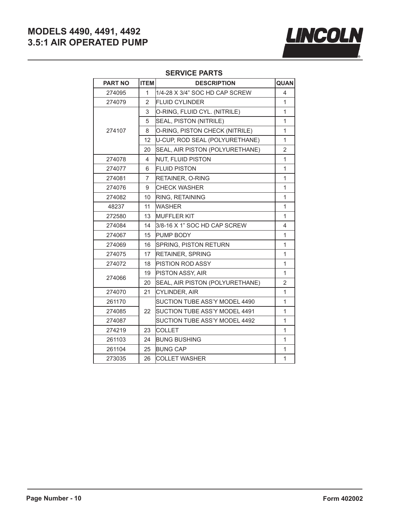

### **SERVICE PARTS**

| <b>PART NO</b> | <b>ITEM</b>    | QUAN<br><b>DESCRIPTION</b>      |                |
|----------------|----------------|---------------------------------|----------------|
| 274095         | 1              | 1/4-28 X 3/4" SOC HD CAP SCREW  |                |
| 274079         | $\overline{2}$ | <b>FLUID CYLINDER</b>           |                |
|                | 3              | O-RING, FLUID CYL. (NITRILE)    |                |
|                | 5              | SEAL, PISTON (NITRILE)          | $\mathbf{1}$   |
| 274107         | 8              | O-RING, PISTON CHECK (NITRILE)  |                |
|                | 12             | U-CUP, ROD SEAL (POLYURETHANE)  |                |
|                | 20             | SEAL, AIR PISTON (POLYURETHANE) | $\overline{2}$ |
| 274078         | 4              | NUT, FLUID PISTON               |                |
| 274077         | 6              | <b>FLUID PISTON</b>             |                |
| 274081         | $\overline{7}$ | RETAINER, O-RING                |                |
| 274076         | 9              | CHECK WASHER                    | 1              |
| 274082         | 10             | <b>RING, RETAINING</b>          | $\mathbf{1}$   |
| 48237          | 11             | WASHER                          | $\mathbf{1}$   |
| 272580         | 13             | <b>MUFFLER KIT</b>              | $\mathbf{1}$   |
| 274084         | 14             | 3/8-16 X 1" SOC HD CAP SCREW    | 4              |
| 274067         | 15             | PUMP BODY                       | 1              |
| 274069         | 16             | SPRING, PISTON RETURN           | 1              |
| 274075         | 17             | <b>RETAINER, SPRING</b>         | 1              |
| 274072         | 18             | PISTION ROD ASSY                | 1              |
|                | 19             | PISTON ASSY, AIR                | 1              |
| 274066         | 20             | SEAL, AIR PISTON (POLYURETHANE) | $\overline{2}$ |
| 274070         | 21             | <b>CYLINDER, AIR</b>            | $\mathbf{1}$   |
| 261170         |                | SUCTION TUBE ASS'Y MODEL 4490   | 1              |
| 274085         | 22             | SUCTION TUBE ASS'Y MODEL 4491   | 1              |
| 274087         |                | SUCTION TUBE ASS'Y MODEL 4492   | $\mathbf{1}$   |
| 274219         | 23             | <b>COLLET</b>                   | $\mathbf{1}$   |
| 261103         | 24             | <b>BUNG BUSHING</b>             | 1              |
| 261104         | 25             | <b>BUNG CAP</b>                 |                |
| 273035         | 26             | <b>COLLET WASHER</b>            | $\mathbf{1}$   |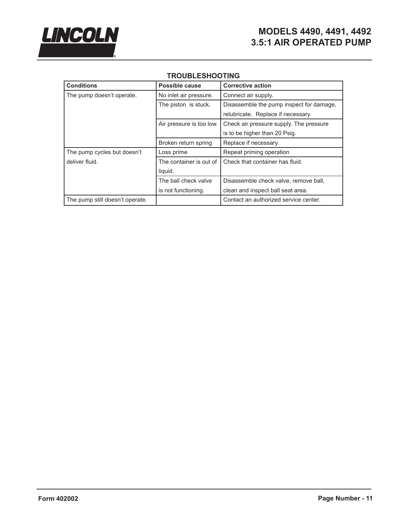

| <b>Conditions</b>               | Possible cause           | <b>Corrective action</b>                 |  |  |
|---------------------------------|--------------------------|------------------------------------------|--|--|
| The pump doesn't operate.       | No inlet air pressure.   | Connect air supply.                      |  |  |
|                                 | The piston is stuck.     | Disassemble the pump inspect for damage, |  |  |
|                                 |                          | relubricate. Replace if necessary.       |  |  |
|                                 | Air pressure is too low. | Check air pressure supply. The pressure  |  |  |
|                                 |                          | is to be higher than 20 Psig.            |  |  |
|                                 | Broken return spring     | Replace if necessary.                    |  |  |
| The pump cycles but doesn't     | Loss prime               | Repeat priming operation                 |  |  |
| deliver fluid.                  | The container is out of  | Check that container has fluid.          |  |  |
|                                 | liquid.                  |                                          |  |  |
|                                 | The ball check valve     | Disassemble check valve, remove ball,    |  |  |
|                                 | is not functioning.      | clean and inspect ball seat area.        |  |  |
| The pump still doesn't operate. |                          | Contact an authorized service center.    |  |  |

## **TROUBLESHOOTING**